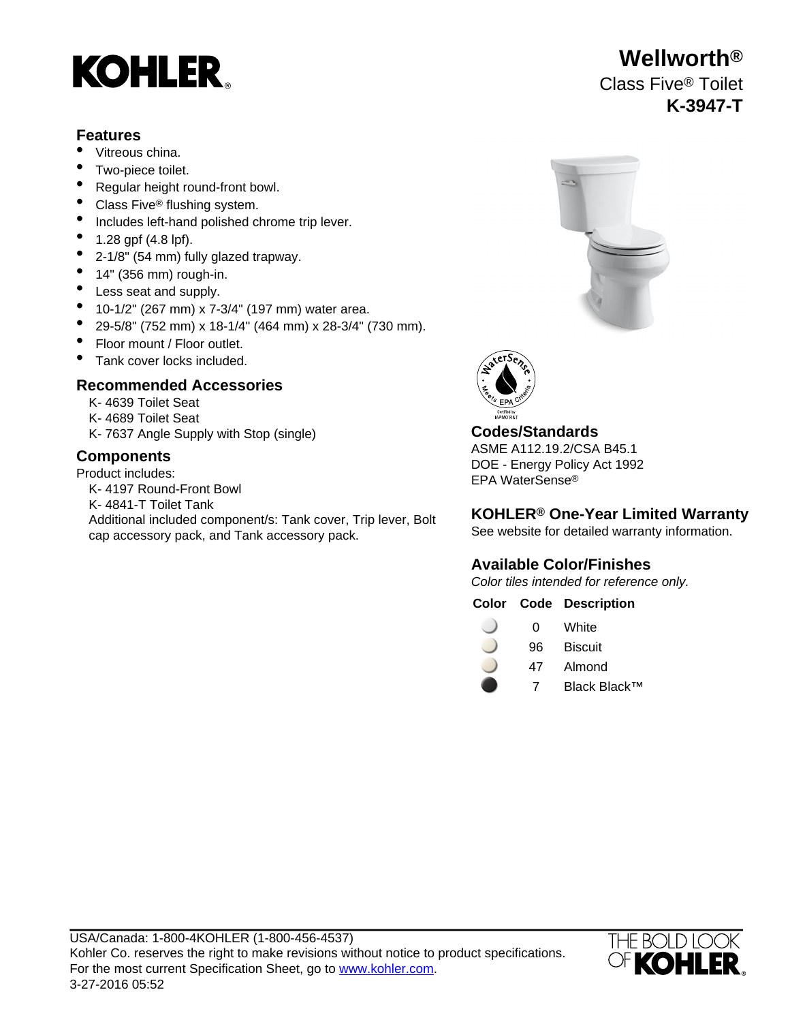# **KOHLER**

### **Features**

- Vitreous china.
- Two-piece toilet.
- Regular height round-front bowl.
- Class Five<sup>®</sup> flushing system.
- Includes left-hand polished chrome trip lever.
- 1.28 gpf (4.8 lpf).
- 2-1/8" (54 mm) fully glazed trapway.
- $\bullet$  14" (356 mm) rough-in.
- Less seat and supply.
- 10-1/2" (267 mm) x 7-3/4" (197 mm) water area.
- 29-5/8" (752 mm) x 18-1/4" (464 mm) x 28-3/4" (730 mm).
- Floor mount / Floor outlet.
- Tank cover locks included.

# **Recommended Accessories**

- K- 4639 Toilet Seat
- K- 4689 Toilet Seat
- K- 7637 Angle Supply with Stop (single) **Codes/Standards**

Product includes:

- K- 4197 Round-Front Bowl
- K- 4841-T Toilet Tank
- Additional included component/s: Tank cover, Trip lever, Bolt cap accessory pack, and Tank accessory pack.





ASME A112.19.2/CSA B45.1 **Components** DOE - Energy Policy Act 1992 EPA WaterSense®

# **KOHLER® One-Year Limited Warranty**

See website for detailed warranty information.

# **Available Color/Finishes**

Color tiles intended for reference only.

### **Color Code Description**

| 0 | White |
|---|-------|
|   |       |

- 96 Biscuit
- 47 Almond
	- 7 Black Black™



# **Wellworth®** Class Five® Toilet **K-3947-T**